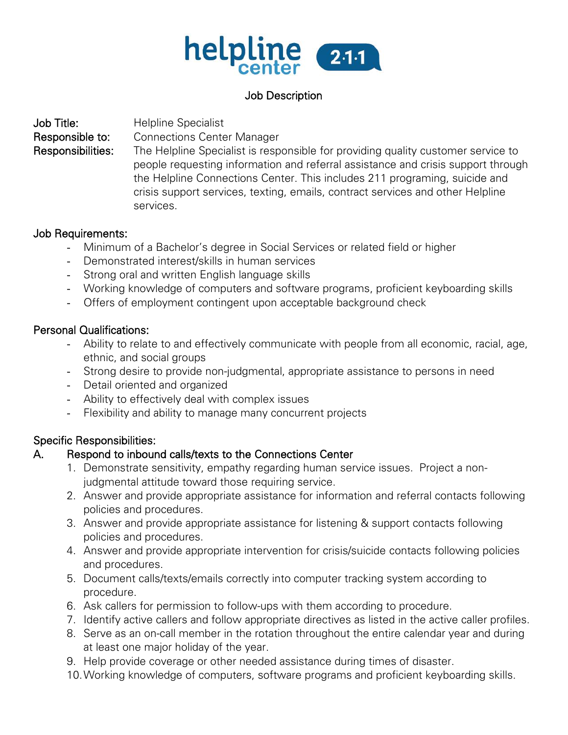

# Job Description

Job Title: Helpline Specialist Responsible to: Connections Center Manager Responsibilities: The Helpline Specialist is responsible for providing quality customer service to people requesting information and referral assistance and crisis support through the Helpline Connections Center. This includes 211 programing, suicide and crisis support services, texting, emails, contract services and other Helpline services.

#### Job Requirements:

- Minimum of a Bachelor's degree in Social Services or related field or higher
- Demonstrated interest/skills in human services
- Strong oral and written English language skills
- Working knowledge of computers and software programs, proficient keyboarding skills
- Offers of employment contingent upon acceptable background check

#### Personal Qualifications:

- Ability to relate to and effectively communicate with people from all economic, racial, age, ethnic, and social groups
- Strong desire to provide non-judgmental, appropriate assistance to persons in need
- Detail oriented and organized
- Ability to effectively deal with complex issues
- Flexibility and ability to manage many concurrent projects

# Specific Responsibilities:

# A. Respond to inbound calls/texts to the Connections Center

- 1. Demonstrate sensitivity, empathy regarding human service issues. Project a nonjudgmental attitude toward those requiring service.
- 2. Answer and provide appropriate assistance for information and referral contacts following policies and procedures.
- 3. Answer and provide appropriate assistance for listening & support contacts following policies and procedures.
- 4. Answer and provide appropriate intervention for crisis/suicide contacts following policies and procedures.
- 5. Document calls/texts/emails correctly into computer tracking system according to procedure.
- 6. Ask callers for permission to follow-ups with them according to procedure.
- 7. Identify active callers and follow appropriate directives as listed in the active caller profiles.
- 8. Serve as an on-call member in the rotation throughout the entire calendar year and during at least one major holiday of the year.
- 9. Help provide coverage or other needed assistance during times of disaster.
- 10.Working knowledge of computers, software programs and proficient keyboarding skills.